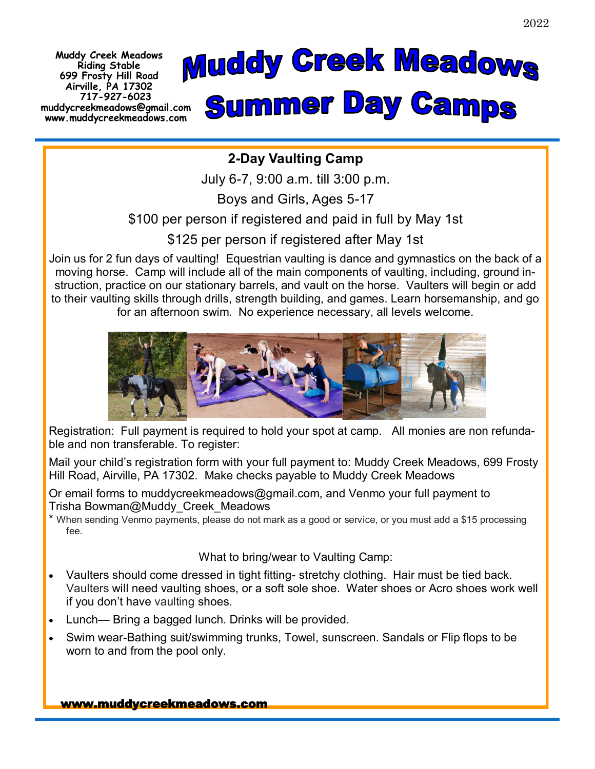**Muddy Creek Meadows Riding Stable 699 Frosty Hill Road Airville, PA 17302 717-927-6023 muddycreekmeadows@gmail.com www.muddycreekmeadows.com**



## **2-Day Vaulting Camp**

July 6-7, 9:00 a.m. till 3:00 p.m.

Boys and Girls, Ages 5-17

\$100 per person if registered and paid in full by May 1st

\$125 per person if registered after May 1st

Join us for 2 fun days of vaulting! Equestrian vaulting is dance and gymnastics on the back of a moving horse. Camp will include all of the main components of vaulting, including, ground instruction, practice on our stationary barrels, and vault on the horse. Vaulters will begin or add to their vaulting skills through drills, strength building, and games. Learn horsemanship, and go for an afternoon swim. No experience necessary, all levels welcome.



Registration: Full payment is required to hold your spot at camp. All monies are non refundable and non transferable. To register:

Mail your child's registration form with your full payment to: Muddy Creek Meadows, 699 Frosty Hill Road, Airville, PA 17302. Make checks payable to Muddy Creek Meadows

Or email forms to muddycreekmeadows@gmail.com, and Venmo your full payment to Trisha Bowman@Muddy\_Creek\_Meadows

\* When sending Venmo payments, please do not mark as a good or service, or you must add a \$15 processing fee.

What to bring/wear to Vaulting Camp:

- Vaulters should come dressed in tight fitting- stretchy clothing. Hair must be tied back. Vaulters will need vaulting shoes, or a soft sole shoe. Water shoes or Acro shoes work well if you don't have vaulting shoes.
- Lunch— Bring a bagged lunch. Drinks will be provided.
- Swim wear-Bathing suit/swimming trunks, Towel, sunscreen. Sandals or Flip flops to be worn to and from the pool only.

www.muddycreekmeadows.com